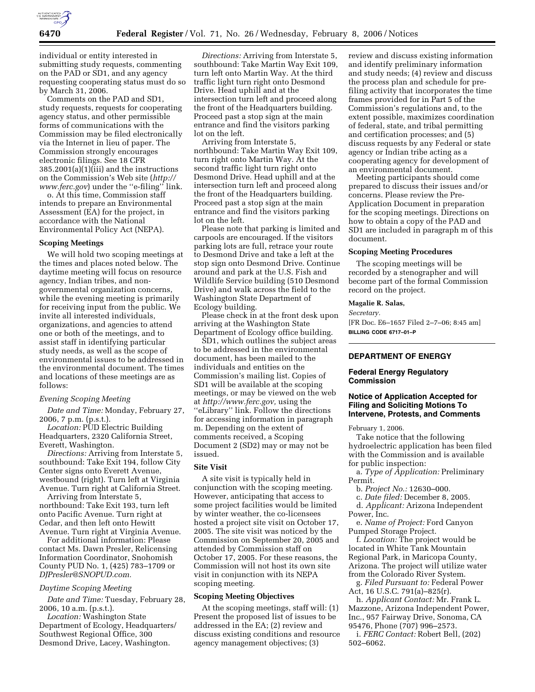

individual or entity interested in submitting study requests, commenting on the PAD or SD1, and any agency requesting cooperating status must do so by March 31, 2006.

Comments on the PAD and SD1, study requests, requests for cooperating agency status, and other permissible forms of communications with the Commission may be filed electronically via the Internet in lieu of paper. The Commission strongly encourages electronic filings. See 18 CFR 385.2001(a)(1)(iii) and the instructions on the Commission's Web site (*http:// www.ferc.gov*) under the ''e-filing'' link.

o. At this time, Commission staff intends to prepare an Environmental Assessment (EA) for the project, in accordance with the National Environmental Policy Act (NEPA).

## **Scoping Meetings**

We will hold two scoping meetings at the times and places noted below. The daytime meeting will focus on resource agency, Indian tribes, and nongovernmental organization concerns, while the evening meeting is primarily for receiving input from the public. We invite all interested individuals, organizations, and agencies to attend one or both of the meetings, and to assist staff in identifying particular study needs, as well as the scope of environmental issues to be addressed in the environmental document. The times and locations of these meetings are as follows:

## *Evening Scoping Meeting*

*Date and Time:* Monday, February 27, 2006, 7 p.m. (p.s.t.).

*Location:* PUD Electric Building Headquarters, 2320 California Street, Everett, Washington.

*Directions:* Arriving from Interstate 5, southbound: Take Exit 194, follow City Center signs onto Everett Avenue, westbound (right). Turn left at Virginia Avenue. Turn right at California Street.

Arriving from Interstate 5, northbound: Take Exit 193, turn left onto Pacific Avenue. Turn right at Cedar, and then left onto Hewitt Avenue. Turn right at Virginia Avenue.

For additional information: Please contact Ms. Dawn Presler, Relicensing Information Coordinator, Snohomish County PUD No. 1, (425) 783–1709 or *DJPresler@SNOPUD.com.* 

#### *Daytime Scoping Meeting*

*Date and Time:* Tuesday, February 28, 2006, 10 a.m. (p.s.t.).

*Location:* Washington State Department of Ecology, Headquarters/ Southwest Regional Office, 300 Desmond Drive, Lacey, Washington.

*Directions:* Arriving from Interstate 5, southbound: Take Martin Way Exit 109, turn left onto Martin Way. At the third traffic light turn right onto Desmond Drive. Head uphill and at the intersection turn left and proceed along the front of the Headquarters building. Proceed past a stop sign at the main entrance and find the visitors parking lot on the left.

Arriving from Interstate 5, northbound: Take Martin Way Exit 109, turn right onto Martin Way. At the second traffic light turn right onto Desmond Drive. Head uphill and at the intersection turn left and proceed along the front of the Headquarters building. Proceed past a stop sign at the main entrance and find the visitors parking lot on the left.

Please note that parking is limited and carpools are encouraged. If the visitors parking lots are full, retrace your route to Desmond Drive and take a left at the stop sign onto Desmond Drive. Continue around and park at the U.S. Fish and Wildlife Service building (510 Desmond Drive) and walk across the field to the Washington State Department of Ecology building.

Please check in at the front desk upon arriving at the Washington State Department of Ecology office building.

SD1, which outlines the subject areas to be addressed in the environmental document, has been mailed to the individuals and entities on the Commission's mailing list. Copies of SD1 will be available at the scoping meetings, or may be viewed on the web at *http://www.ferc.gov,* using the ''eLibrary'' link. Follow the directions for accessing information in paragraph m. Depending on the extent of comments received, a Scoping Document 2 (SD2) may or may not be issued.

## **Site Visit**

A site visit is typically held in conjunction with the scoping meeting. However, anticipating that access to some project facilities would be limited by winter weather, the co-licensees hosted a project site visit on October 17, 2005. The site visit was noticed by the Commission on September 20, 2005 and attended by Commission staff on October 17, 2005. For these reasons, the Commission will not host its own site visit in conjunction with its NEPA scoping meeting.

## **Scoping Meeting Objectives**

At the scoping meetings, staff will: (1) Present the proposed list of issues to be addressed in the EA; (2) review and discuss existing conditions and resource agency management objectives; (3)

review and discuss existing information and identify preliminary information and study needs; (4) review and discuss the process plan and schedule for prefiling activity that incorporates the time frames provided for in Part 5 of the Commission's regulations and, to the extent possible, maximizes coordination of federal, state, and tribal permitting and certification processes; and (5) discuss requests by any Federal or state agency or Indian tribe acting as a cooperating agency for development of an environmental document.

Meeting participants should come prepared to discuss their issues and/or concerns. Please review the Pre-Application Document in preparation for the scoping meetings. Directions on how to obtain a copy of the PAD and SD1 are included in paragraph m of this document.

## **Scoping Meeting Procedures**

The scoping meetings will be recorded by a stenographer and will become part of the formal Commission record on the project.

### **Magalie R. Salas,**

### *Secretary.*

[FR Doc. E6–1657 Filed 2–7–06; 8:45 am] **BILLING CODE 6717–01–P** 

# **DEPARTMENT OF ENERGY**

## **Federal Energy Regulatory Commission**

# **Notice of Application Accepted for Filing and Soliciting Motions To Intervene, Protests, and Comments**

February 1, 2006.

Take notice that the following hydroelectric application has been filed with the Commission and is available for public inspection:

a. *Type of Application:* Preliminary Permit.

b. *Project No.:* 12630–000.

c. *Date filed:* December 8, 2005.

d. *Applicant:* Arizona Independent Power, Inc.

e. *Name of Project:* Ford Canyon Pumped Storage Project.

f. *Location:* The project would be located in White Tank Mountain Regional Park, in Maricopa County, Arizona. The project will utilize water from the Colorado River System.

g. *Filed Pursuant to:* Federal Power Act, 16 U.S.C. 791(a)–825(r).

h. *Applicant Contact:* Mr. Frank L. Mazzone, Arizona Independent Power, Inc., 957 Fairway Drive, Sonoma, CA 95476, Phone (707) 996–2573.

i. *FERC Contact:* Robert Bell, (202) 502–6062.